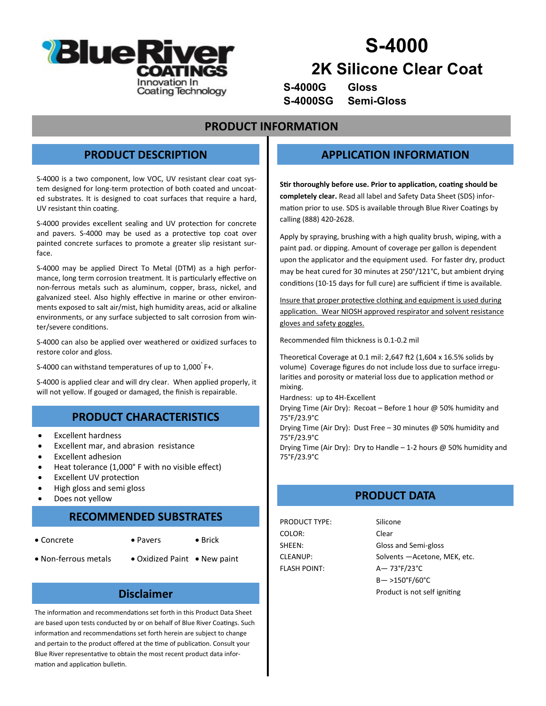

# **S-4000**

## **2K Silicone Clear Coat**

**S-4000G Gloss S-4000SG Semi-Gloss**

#### **PRODUCT INFORMATION**

### **PRODUCT DESCRIPTION**

S-4000 is a two component, low VOC, UV resistant clear coat system designed for long-term protection of both coated and uncoated substrates. It is designed to coat surfaces that require a hard, UV resistant thin coating.

S-4000 provides excellent sealing and UV protection for concrete and pavers. S-4000 may be used as a protective top coat over painted concrete surfaces to promote a greater slip resistant surface.

S-4000 may be applied Direct To Metal (DTM) as a high performance, long term corrosion treatment. It is particularly effective on non-ferrous metals such as aluminum, copper, brass, nickel, and galvanized steel. Also highly effective in marine or other environments exposed to salt air/mist, high humidity areas, acid or alkaline environments, or any surface subjected to salt corrosion from winter/severe conditions.

S-4000 can also be applied over weathered or oxidized surfaces to restore color and gloss.

S-4000 can withstand temperatures of up to 1,000° F+.

S-4000 is applied clear and will dry clear. When applied properly, it will not yellow. If gouged or damaged, the finish is repairable.

## **PRODUCT CHARACTERISTICS**

- Excellent hardness
- Excellent mar, and abrasion resistance
- Excellent adhesion
- Heat tolerance (1,000° F with no visible effect)
- Excellent UV protection
- High gloss and semi gloss
- Does not yellow

#### **RECOMMENDED SUBSTRATES**

- 
- Concrete Pavers Brick
- 
- Non-ferrous metals Oxidized Paint New paint

#### **Disclaimer**

The information and recommendations set forth in this Product Data Sheet are based upon tests conducted by or on behalf of Blue River Coatings. Such information and recommendations set forth herein are subject to change and pertain to the product offered at the time of publication. Consult your Blue River representative to obtain the most recent product data information and application bulletin.

#### **APPLICATION INFORMATION**

**Stir thoroughly before use. Prior to application, coating should be completely clear.** Read all label and Safety Data Sheet (SDS) information prior to use. SDS is available through Blue River Coatings by calling (888) 420-2628.

Apply by spraying, brushing with a high quality brush, wiping, with a paint pad. or dipping. Amount of coverage per gallon is dependent upon the applicator and the equipment used. For faster dry, product may be heat cured for 30 minutes at 250°/121°C, but ambient drying conditions (10-15 days for full cure) are sufficient if time is available.

Insure that proper protective clothing and equipment is used during application. Wear NIOSH approved respirator and solvent resistance gloves and safety goggles.

Recommended film thickness is 0.1-0.2 mil

Theoretical Coverage at 0.1 mil: 2,647 ft2 (1,604 x 16.5% solids by volume) Coverage figures do not include loss due to surface irregularities and porosity or material loss due to application method or mixing.

Hardness: up to 4H-Excellent

Drying Time (Air Dry): Recoat – Before 1 hour @ 50% humidity and 75°F/23.9°C

Drying Time (Air Dry): Dust Free – 30 minutes @ 50% humidity and 75°F/23.9°C

Drying Time (Air Dry): Dry to Handle  $-1$ -2 hours @ 50% humidity and 75°F/23.9°C

## **PRODUCT DATA**

PRODUCT TYPE: Silicone COLOR: Clear FLASH POINT: A— 73°F/23°C

SHEEN: Gloss and Semi-gloss CLEANUP: Solvents - Acetone, MEK, etc. B— >150°F/60°C Product is not self igniting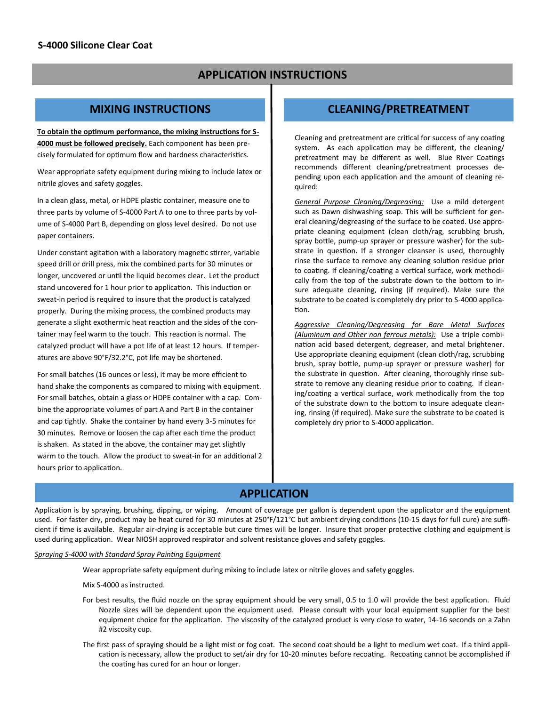## **APPLICATION INSTRUCTIONS**

#### **MIXING INSTRUCTIONS**

**To obtain the optimum performance, the mixing instructions for S-4000 must be followed precisely.** Each component has been precisely formulated for optimum flow and hardness characteristics.

Wear appropriate safety equipment during mixing to include latex or nitrile gloves and safety goggles.

In a clean glass, metal, or HDPE plastic container, measure one to three parts by volume of S-4000 Part A to one to three parts by volume of S-4000 Part B, depending on gloss level desired. Do not use paper containers.

Under constant agitation with a laboratory magnetic stirrer, variable speed drill or drill press, mix the combined parts for 30 minutes or longer, uncovered or until the liquid becomes clear. Let the product stand uncovered for 1 hour prior to application. This induction or sweat-in period is required to insure that the product is catalyzed properly. During the mixing process, the combined products may generate a slight exothermic heat reaction and the sides of the container may feel warm to the touch. This reaction is normal. The catalyzed product will have a pot life of at least 12 hours. If temperatures are above 90°F/32.2°C, pot life may be shortened.

For small batches (16 ounces or less), it may be more efficient to hand shake the components as compared to mixing with equipment. For small batches, obtain a glass or HDPE container with a cap. Combine the appropriate volumes of part A and Part B in the container and cap tightly. Shake the container by hand every 3-5 minutes for 30 minutes. Remove or loosen the cap after each time the product is shaken. As stated in the above, the container may get slightly warm to the touch. Allow the product to sweat-in for an additional 2 hours prior to application.

#### **CLEANING/PRETREATMENT**

Cleaning and pretreatment are critical for success of any coating system. As each application may be different, the cleaning/ pretreatment may be different as well. Blue River Coatings recommends different cleaning/pretreatment processes depending upon each application and the amount of cleaning required:

*General Purpose Cleaning/Degreasing:* Use a mild detergent such as Dawn dishwashing soap. This will be sufficient for general cleaning/degreasing of the surface to be coated. Use appropriate cleaning equipment (clean cloth/rag, scrubbing brush, spray bottle, pump-up sprayer or pressure washer) for the substrate in question. If a stronger cleanser is used, thoroughly rinse the surface to remove any cleaning solution residue prior to coating. If cleaning/coating a vertical surface, work methodically from the top of the substrate down to the bottom to insure adequate cleaning, rinsing (if required). Make sure the substrate to be coated is completely dry prior to S-4000 application.

*Aggressive Cleaning/Degreasing for Bare Metal Surfaces (Aluminum and Other non ferrous metals):* Use a triple combination acid based detergent, degreaser, and metal brightener. Use appropriate cleaning equipment (clean cloth/rag, scrubbing brush, spray bottle, pump-up sprayer or pressure washer) for the substrate in question. After cleaning, thoroughly rinse substrate to remove any cleaning residue prior to coating. If cleaning/coating a vertical surface, work methodically from the top of the substrate down to the bottom to insure adequate cleaning, rinsing (if required). Make sure the substrate to be coated is completely dry prior to S-4000 application.

#### **APPLICATION**

Application is by spraying, brushing, dipping, or wiping. Amount of coverage per gallon is dependent upon the applicator and the equipment used. For faster dry, product may be heat cured for 30 minutes at 250°F/121°C but ambient drying conditions (10-15 days for full cure) are sufficient if time is available. Regular air-drying is acceptable but cure times will be longer. Insure that proper protective clothing and equipment is used during application. Wear NIOSH approved respirator and solvent resistance gloves and safety goggles.

#### *Spraying S-4000 with Standard Spray Painting Equipment*

Wear appropriate safety equipment during mixing to include latex or nitrile gloves and safety goggles.

Mix S-4000 as instructed.

- For best results, the fluid nozzle on the spray equipment should be very small, 0.5 to 1.0 will provide the best application. Fluid Nozzle sizes will be dependent upon the equipment used. Please consult with your local equipment supplier for the best equipment choice for the application. The viscosity of the catalyzed product is very close to water, 14-16 seconds on a Zahn #2 viscosity cup.
- The first pass of spraying should be a light mist or fog coat. The second coat should be a light to medium wet coat. If a third application is necessary, allow the product to set/air dry for 10-20 minutes before recoating. Recoating cannot be accomplished if the coating has cured for an hour or longer.